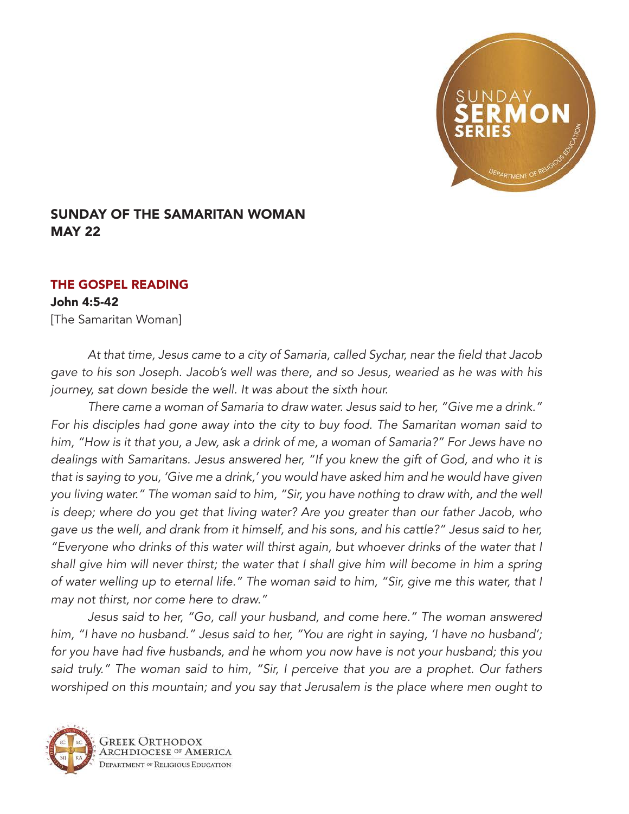

## SUNDAY OF THE SAMARITAN WOMAN MAY 22

## THE GOSPEL READING

## John 4:5-42

[The Samaritan Woman]

 At that time, Jesus came to a city of Samaria, called Sychar, near the field that Jacob gave to his son Joseph. Jacob's well was there, and so Jesus, wearied as he was with his journey, sat down beside the well. It was about the sixth hour.

 There came a woman of Samaria to draw water. Jesus said to her, "Give me a drink." For his disciples had gone away into the city to buy food. The Samaritan woman said to him, "How is it that you, a Jew, ask a drink of me, a woman of Samaria?" For Jews have no dealings with Samaritans. Jesus answered her, "If you knew the gift of God, and who it is that is saying to you, 'Give me a drink,' you would have asked him and he would have given you living water." The woman said to him, "Sir, you have nothing to draw with, and the well is deep; where do you get that living water? Are you greater than our father Jacob, who gave us the well, and drank from it himself, and his sons, and his cattle?" Jesus said to her, "Everyone who drinks of this water will thirst again, but whoever drinks of the water that I shall give him will never thirst; the water that I shall give him will become in him a spring of water welling up to eternal life." The woman said to him, "Sir, give me this water, that I may not thirst, nor come here to draw."

 Jesus said to her, "Go, call your husband, and come here." The woman answered him, "I have no husband." Jesus said to her, "You are right in saying, 'I have no husband'; for you have had five husbands, and he whom you now have is not your husband; this you said truly." The woman said to him, "Sir, I perceive that you are a prophet. Our fathers worshiped on this mountain; and you say that Jerusalem is the place where men ought to



Greek Orthodox RCHDIOCESE OF AMERICA **DEPARTMENT OF RELIGIOUS EDUCATION**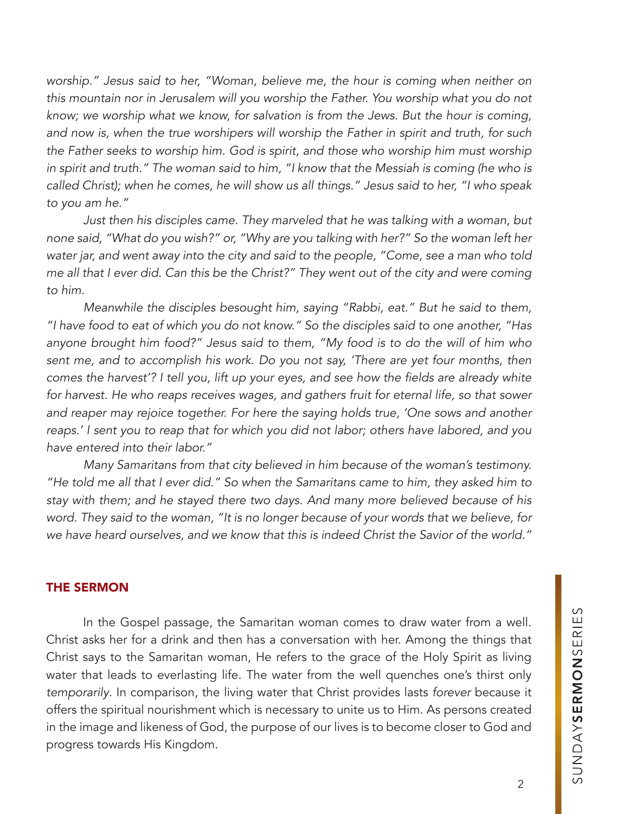worship." Jesus said to her, "Woman, believe me, the hour is coming when neither on this mountain nor in Jerusalem will you worship the Father. You worship what you do not know; we worship what we know, for salvation is from the Jews. But the hour is coming, and now is, when the true worshipers will worship the Father in spirit and truth, for such the Father seeks to worship him. God is spirit, and those who worship him must worship in spirit and truth." The woman said to him, "I know that the Messiah is coming (he who is called Christ); when he comes, he will show us all things." Jesus said to her, "I who speak to you am he."

 Just then his disciples came. They marveled that he was talking with a woman, but none said, "What do you wish?" or, "Why are you talking with her?" So the woman left her water jar, and went away into the city and said to the people, "Come, see a man who told me all that I ever did. Can this be the Christ?" They went out of the city and were coming *to him.*

 Meanwhile the disciples besought him, saying "Rabbi, eat." But he said to them, "I have food to eat of which you do not know." So the disciples said to one another, "Has anyone brought him food?" Jesus said to them, "My food is to do the will of him who sent me, and to accomplish his work. Do you not say, 'There are yet four months, then comes the harvest'? I tell you, lift up your eyes, and see how the fields are already white for harvest. He who reaps receives wages, and gathers fruit for eternal life, so that sower and reaper may rejoice together. For here the saying holds true, 'One sows and another reaps.' I sent you to reap that for which you did not labor; others have labored, and you have entered into their labor."

 Many Samaritans from that city believed in him because of the woman's testimony. "He told me all that I ever did." So when the Samaritans came to him, they asked him to stay with them; and he stayed there two days. And many more believed because of his word. They said to the woman, "It is no longer because of your words that we believe, for we have heard ourselves, and we know that this is indeed Christ the Savior of the world."

## THE SERMON

In the Gospel passage, the Samaritan woman comes to draw water from a well. Christ asks her for a drink and then has a conversation with her. Among the things that Christ says to the Samaritan woman, He refers to the grace of the Holy Spirit as living water that leads to everlasting life. The water from the well quenches one's thirst only *temporarily*. In comparison, the living water that Christ provides lasts *forever* because it offers the spiritual nourishment which is necessary to unite us to Him. As persons created in the image and likeness of God, the purpose of our lives is to become closer to God and progress towards His Kingdom.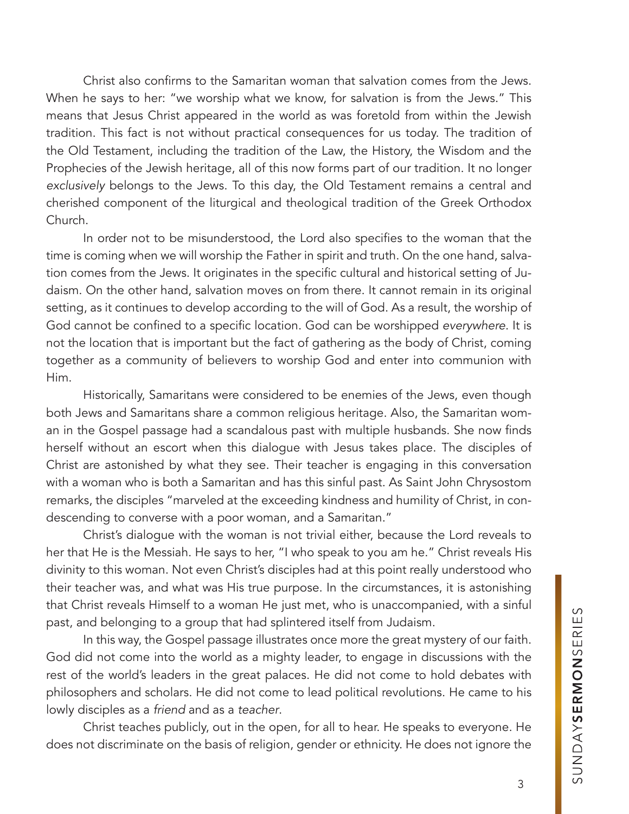Christ also confirms to the Samaritan woman that salvation comes from the Jews. When he says to her: "we worship what we know, for salvation is from the Jews." This means that Jesus Christ appeared in the world as was foretold from within the Jewish tradition. This fact is not without practical consequences for us today. The tradition of the Old Testament, including the tradition of the Law, the History, the Wisdom and the Prophecies of the Jewish heritage, all of this now forms part of our tradition. It no longer exclusively belongs to the Jews. To this day, the Old Testament remains a central and cherished component of the liturgical and theological tradition of the Greek Orthodox Church.

 In order not to be misunderstood, the Lord also specifies to the woman that the time is coming when we will worship the Father in spirit and truth. On the one hand, salvation comes from the Jews. It originates in the specific cultural and historical setting of Judaism. On the other hand, salvation moves on from there. It cannot remain in its original setting, as it continues to develop according to the will of God. As a result, the worship of God cannot be confined to a specific location. God can be worshipped everywhere. It is not the location that is important but the fact of gathering as the body of Christ, coming together as a community of believers to worship God and enter into communion with Him.

 Historically, Samaritans were considered to be enemies of the Jews, even though both Jews and Samaritans share a common religious heritage. Also, the Samaritan woman in the Gospel passage had a scandalous past with multiple husbands. She now finds herself without an escort when this dialogue with Jesus takes place. The disciples of Christ are astonished by what they see. Their teacher is engaging in this conversation with a woman who is both a Samaritan and has this sinful past. As Saint John Chrysostom remarks, the disciples "marveled at the exceeding kindness and humility of Christ, in condescending to converse with a poor woman, and a Samaritan."

Christ's dialogue with the woman is not trivial either, because the Lord reveals to her that He is the Messiah. He says to her, "I who speak to you am he." Christ reveals His divinity to this woman. Not even Christ's disciples had at this point really understood who their teacher was, and what was His true purpose. In the circumstances, it is astonishing that Christ reveals Himself to a woman He just met, who is unaccompanied, with a sinful past, and belonging to a group that had splintered itself from Judaism.

In this way, the Gospel passage illustrates once more the great mystery of our faith. God did not come into the world as a mighty leader, to engage in discussions with the rest of the world's leaders in the great palaces. He did not come to hold debates with philosophers and scholars. He did not come to lead political revolutions. He came to his lowly disciples as a *friend* and as a *teacher*.

Christ teaches publicly, out in the open, for all to hear. He speaks to everyone. He does not discriminate on the basis of religion, gender or ethnicity. He does not ignore the